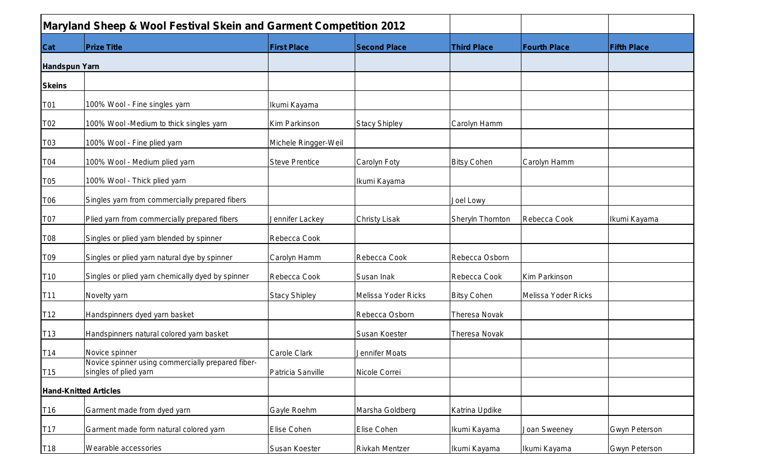|                      | <b>Maryland Sheep &amp; Wool Festival Skein and Garment Competition 2012</b> |                       |                       |                      |                     |                      |
|----------------------|------------------------------------------------------------------------------|-----------------------|-----------------------|----------------------|---------------------|----------------------|
| <b>Cat</b>           | <b>Prize Title</b>                                                           | <b>First Place</b>    | <b>Second Place</b>   | <b>Third Place</b>   | <b>Fourth Place</b> | <b>Fifth Place</b>   |
| <b>Handspun Yarn</b> |                                                                              |                       |                       |                      |                     |                      |
| <b>Skeins</b>        |                                                                              |                       |                       |                      |                     |                      |
| T01                  | 100% Wool - Fine singles yarn                                                | Ikumi Kayama          |                       |                      |                     |                      |
| T02                  | 100% Wool -Medium to thick singles yarn                                      | Kim Parkinson         | <b>Stacy Shipley</b>  | Carolyn Hamm         |                     |                      |
| T03                  | 100% Wool - Fine plied yarn                                                  | Michele Ringger-Weil  |                       |                      |                     |                      |
| T04                  | 100% Wool - Medium plied yarn                                                | <b>Steve Prentice</b> | Carolyn Foty          | <b>Bitsy Cohen</b>   | Carolyn Hamm        |                      |
| T05                  | 100% Wool - Thick plied yarn                                                 |                       | Ikumi Kayama          |                      |                     |                      |
| T06                  | Singles yarn from commercially prepared fibers                               |                       |                       | Joel Lowy            |                     |                      |
| T07                  | Plied yarn from commercially prepared fibers                                 | Jennifer Lackey       | <b>Christy Lisak</b>  | Sheryln Thornton     | Rebecca Cook        | Ikumi Kayama         |
| T08                  | Singles or plied yarn blended by spinner                                     | Rebecca Cook          |                       |                      |                     |                      |
| T09                  | Singles or plied yarn natural dye by spinner                                 | Carolyn Hamm          | Rebecca Cook          | Rebecca Osborn       |                     |                      |
| T <sub>10</sub>      | Singles or plied yarn chemically dyed by spinner                             | Rebecca Cook          | Susan Inak            | Rebecca Cook         | Kim Parkinson       |                      |
| T11                  | Novelty yarn                                                                 | <b>Stacy Shipley</b>  | Melissa Yoder Ricks   | <b>Bitsy Cohen</b>   | Melissa Yoder Ricks |                      |
| T <sub>12</sub>      | Handspinners dyed yarn basket                                                |                       | Rebecca Osborn        | Theresa Novak        |                     |                      |
| T <sub>13</sub>      | Handspinners natural colored yarn basket                                     |                       | Susan Koester         | <b>Theresa Novak</b> |                     |                      |
| T <sub>14</sub>      | Novice spinner                                                               | <b>Carole Clark</b>   | Jennifer Moats        |                      |                     |                      |
| T <sub>15</sub>      | Novice spinner using commercially prepared fiber-<br>singles of plied yarn   | Patricia Sanville     | Nicole Correi         |                      |                     |                      |
|                      | <b>Hand-Knitted Articles</b>                                                 |                       |                       |                      |                     |                      |
| T <sub>16</sub>      | Garment made from dyed yarn                                                  | Gayle Roehm           | Marsha Goldberg       | Katrina Updike       |                     |                      |
| T <sub>17</sub>      | Garment made form natural colored yarn                                       | Elise Cohen           | Elise Cohen           | Ikumi Kayama         | Joan Sweeney        | <b>Gwyn Peterson</b> |
| T18                  | Wearable accessories                                                         | Susan Koester         | <b>Rivkah Mentzer</b> | Ikumi Kayama         | Ikumi Kayama        | Gwyn Peterson        |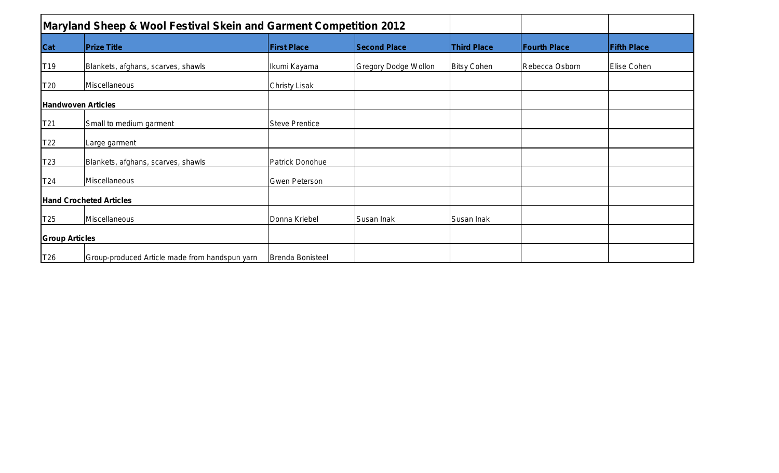|                       | <b>Maryland Sheep &amp; Wool Festival Skein and Garment Competition 2012</b> |                         |                             |                    |                     |                    |
|-----------------------|------------------------------------------------------------------------------|-------------------------|-----------------------------|--------------------|---------------------|--------------------|
| <b>Cat</b>            | <b>Prize Title</b>                                                           | <b>First Place</b>      | <b>Second Place</b>         | <b>Third Place</b> | <b>Fourth Place</b> | <b>Fifth Place</b> |
| T <sub>19</sub>       | Blankets, afghans, scarves, shawls                                           | Ikumi Kayama            | <b>Gregory Dodge Wollon</b> | <b>Bitsy Cohen</b> | Rebecca Osborn      | Elise Cohen        |
| T20                   | Miscellaneous                                                                | <b>Christy Lisak</b>    |                             |                    |                     |                    |
|                       | <b>Handwoven Articles</b>                                                    |                         |                             |                    |                     |                    |
| T <sub>21</sub>       | Small to medium garment                                                      | <b>Steve Prentice</b>   |                             |                    |                     |                    |
| T22                   | Large garment                                                                |                         |                             |                    |                     |                    |
| T23                   | Blankets, afghans, scarves, shawls                                           | Patrick Donohue         |                             |                    |                     |                    |
| T24                   | Miscellaneous                                                                | Gwen Peterson           |                             |                    |                     |                    |
|                       | <b>Hand Crocheted Articles</b>                                               |                         |                             |                    |                     |                    |
| T25                   | Miscellaneous                                                                | Donna Kriebel           | Susan Inak                  | Susan Inak         |                     |                    |
| <b>Group Articles</b> |                                                                              |                         |                             |                    |                     |                    |
| T <sub>26</sub>       | Group-produced Article made from handspun yarn                               | <b>Brenda Bonisteel</b> |                             |                    |                     |                    |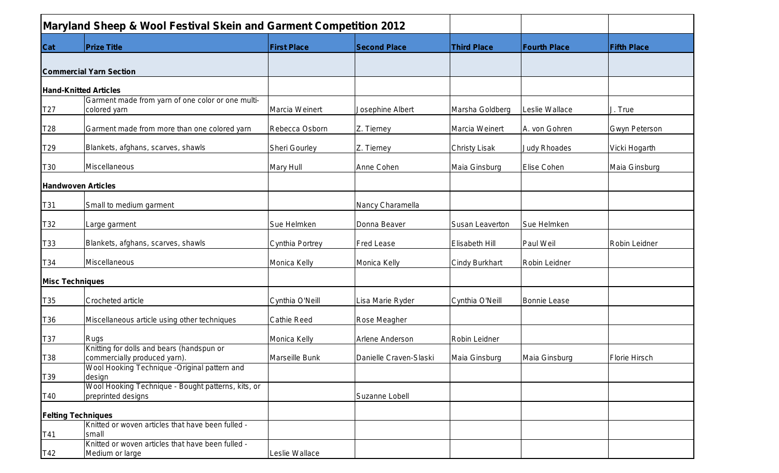|            | <b>Maryland Sheep &amp; Wool Festival Skein and Garment Competition 2012</b> |                       |                        |                        |                     |                      |
|------------|------------------------------------------------------------------------------|-----------------------|------------------------|------------------------|---------------------|----------------------|
| <b>Cat</b> | <b>Prize Title</b>                                                           | <b>First Place</b>    | <b>Second Place</b>    | <b>Third Place</b>     | <b>Fourth Place</b> | <b>Fifth Place</b>   |
|            |                                                                              |                       |                        |                        |                     |                      |
|            | <b>Commercial Yarn Section</b>                                               |                       |                        |                        |                     |                      |
|            |                                                                              |                       |                        |                        |                     |                      |
|            | <b>Hand-Knitted Articles</b>                                                 |                       |                        |                        |                     |                      |
|            | Garment made from yarn of one color or one multi-                            | Marcia Weinert        |                        |                        |                     |                      |
| T27        | colored yarn                                                                 |                       | Josephine Albert       | Marsha Goldberg        | Leslie Wallace      | J. True              |
| T28        | Garment made from more than one colored yarn                                 | Rebecca Osborn        | Z. Tierney             | Marcia Weinert         | A. von Gohren       | <b>Gwyn Peterson</b> |
| T29        | Blankets, afghans, scarves, shawls                                           | Sheri Gourley         | Z. Tierney             | <b>Christy Lisak</b>   | <b>Judy Rhoades</b> | Vicki Hogarth        |
|            |                                                                              |                       |                        |                        |                     |                      |
| T30        | Miscellaneous                                                                | Mary Hull             | Anne Cohen             | Maia Ginsburg          | Elise Cohen         | Maia Ginsburg        |
|            | <b>Handwoven Articles</b>                                                    |                       |                        |                        |                     |                      |
| T31        | Small to medium garment                                                      |                       | Nancy Charamella       |                        |                     |                      |
| T32        | Large garment                                                                | Sue Helmken           | Donna Beaver           | <b>Susan Leaverton</b> | Sue Helmken         |                      |
| T33        | Blankets, afghans, scarves, shawls                                           | Cynthia Portrey       | <b>Fred Lease</b>      | <b>Elisabeth Hill</b>  | Paul Weil           | Robin Leidner        |
| T34        | Miscellaneous                                                                | Monica Kelly          | Monica Kelly           | <b>Cindy Burkhart</b>  | Robin Leidner       |                      |
|            | <b>Misc Techniques</b>                                                       |                       |                        |                        |                     |                      |
| T35        | Crocheted article                                                            | Cynthia O'Neill       | Lisa Marie Ryder       | Cynthia O'Neill        | Bonnie Lease        |                      |
| T36        | Miscellaneous article using other techniques                                 | Cathie Reed           | Rose Meagher           |                        |                     |                      |
| T37        | <b>Rugs</b>                                                                  | Monica Kelly          | Arlene Anderson        | Robin Leidner          |                     |                      |
|            | Knitting for dolls and bears (handspun or                                    |                       |                        |                        |                     |                      |
| T38        | commercially produced yarn).<br>Wool Hooking Technique -Original pattern and | <b>Marseille Bunk</b> | Danielle Craven-Slaski | Maia Ginsburg          | Maia Ginsburg       | Florie Hirsch        |
|            | design                                                                       |                       |                        |                        |                     |                      |
| T39        | Wool Hooking Technique - Bought patterns, kits, or                           |                       |                        |                        |                     |                      |
| T40        | preprinted designs                                                           |                       | Suzanne Lobell         |                        |                     |                      |
|            |                                                                              |                       |                        |                        |                     |                      |
|            | <b>Felting Techniques</b>                                                    |                       |                        |                        |                     |                      |
|            | Knitted or woven articles that have been fulled -                            |                       |                        |                        |                     |                      |
| T41        | small                                                                        |                       |                        |                        |                     |                      |
|            | Knitted or woven articles that have been fulled -                            |                       |                        |                        |                     |                      |
| T42        | Medium or large                                                              | Leslie Wallace        |                        |                        |                     |                      |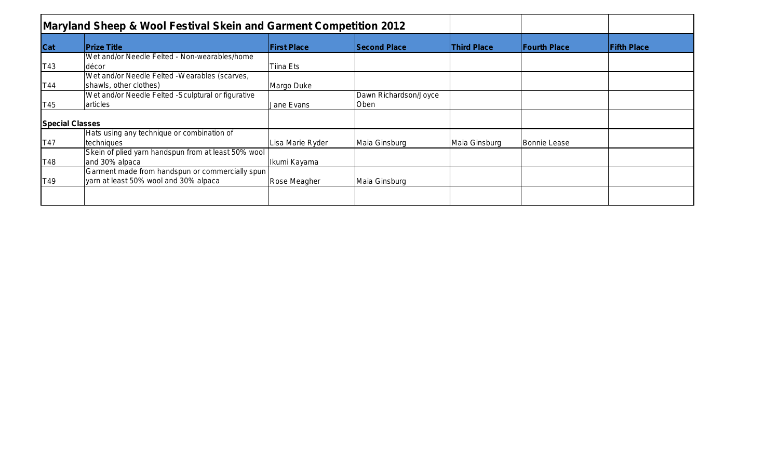|                        | <b>Maryland Sheep &amp; Wool Festival Skein and Garment Competition 2012</b> |                    |                       |                    |                     |                    |
|------------------------|------------------------------------------------------------------------------|--------------------|-----------------------|--------------------|---------------------|--------------------|
| Cat                    | <b>Prize Title</b>                                                           | <b>First Place</b> | <b>Second Place</b>   | <b>Third Place</b> | <b>Fourth Place</b> | <b>Fifth Place</b> |
|                        | Wet and/or Needle Felted - Non-wearables/home                                |                    |                       |                    |                     |                    |
| T43                    | décor                                                                        | Tiina Ets          |                       |                    |                     |                    |
|                        | Wet and/or Needle Felted -Wearables (scarves,                                |                    |                       |                    |                     |                    |
| T44                    | shawls, other clothes)                                                       | Margo Duke         |                       |                    |                     |                    |
|                        | Wet and/or Needle Felted -Sculptural or figurative                           |                    | Dawn Richardson/Joyce |                    |                     |                    |
| T45                    | articles                                                                     | Jane Evans         | Oben                  |                    |                     |                    |
| <b>Special Classes</b> |                                                                              |                    |                       |                    |                     |                    |
|                        | Hats using any technique or combination of                                   |                    |                       |                    |                     |                    |
| T47                    | techniques                                                                   | Lisa Marie Ryder   | Maia Ginsburg         | Maia Ginsburg      | <b>Bonnie Lease</b> |                    |
|                        | Skein of plied yarn handspun from at least 50% wool                          |                    |                       |                    |                     |                    |
| T48                    | and 30% alpaca                                                               | Ikumi Kayama       |                       |                    |                     |                    |
|                        | Garment made from handspun or commercially spun                              |                    |                       |                    |                     |                    |
| T49                    | yarn at least 50% wool and 30% alpaca                                        | Rose Meagher       | Maia Ginsburg         |                    |                     |                    |
|                        |                                                                              |                    |                       |                    |                     |                    |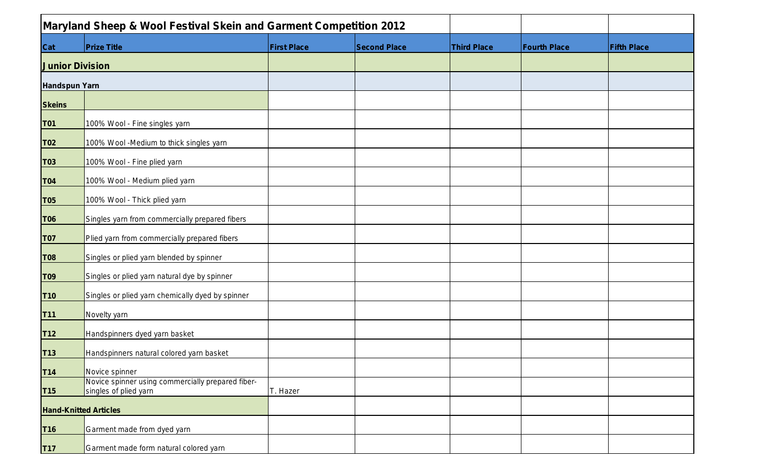|                        | Maryland Sheep & Wool Festival Skein and Garment Competition 2012          |                    |                     |                    |                     |                    |
|------------------------|----------------------------------------------------------------------------|--------------------|---------------------|--------------------|---------------------|--------------------|
| <b>Cat</b>             | <b>Prize Title</b>                                                         | <b>First Place</b> | <b>Second Place</b> | <b>Third Place</b> | <b>Fourth Place</b> | <b>Fifth Place</b> |
| <b>Junior Division</b> |                                                                            |                    |                     |                    |                     |                    |
| <b>Handspun Yarn</b>   |                                                                            |                    |                     |                    |                     |                    |
| <b>Skeins</b>          |                                                                            |                    |                     |                    |                     |                    |
| <b>T01</b>             | 100% Wool - Fine singles yarn                                              |                    |                     |                    |                     |                    |
| <b>T02</b>             | 100% Wool -Medium to thick singles yarn                                    |                    |                     |                    |                     |                    |
| <b>T03</b>             | 100% Wool - Fine plied yarn                                                |                    |                     |                    |                     |                    |
| <b>T04</b>             | 100% Wool - Medium plied yarn                                              |                    |                     |                    |                     |                    |
| <b>T05</b>             | 100% Wool - Thick plied yarn                                               |                    |                     |                    |                     |                    |
| T06                    | Singles yarn from commercially prepared fibers                             |                    |                     |                    |                     |                    |
| <b>T07</b>             | Plied yarn from commercially prepared fibers                               |                    |                     |                    |                     |                    |
| <b>T08</b>             | Singles or plied yarn blended by spinner                                   |                    |                     |                    |                     |                    |
| <b>T09</b>             | Singles or plied yarn natural dye by spinner                               |                    |                     |                    |                     |                    |
| <b>T10</b>             | Singles or plied yarn chemically dyed by spinner                           |                    |                     |                    |                     |                    |
| <b>T11</b>             | Novelty yarn                                                               |                    |                     |                    |                     |                    |
| <b>T12</b>             | Handspinners dyed yarn basket                                              |                    |                     |                    |                     |                    |
| <b>T13</b>             | Handspinners natural colored yarn basket                                   |                    |                     |                    |                     |                    |
| T14                    | Novice spinner                                                             |                    |                     |                    |                     |                    |
| <b>T15</b>             | Novice spinner using commercially prepared fiber-<br>singles of plied yarn | T. Hazer           |                     |                    |                     |                    |
|                        | <b>Hand-Knitted Articles</b>                                               |                    |                     |                    |                     |                    |
| T <sub>16</sub>        | Garment made from dyed yarn                                                |                    |                     |                    |                     |                    |
| <b>T17</b>             | Garment made form natural colored yarn                                     |                    |                     |                    |                     |                    |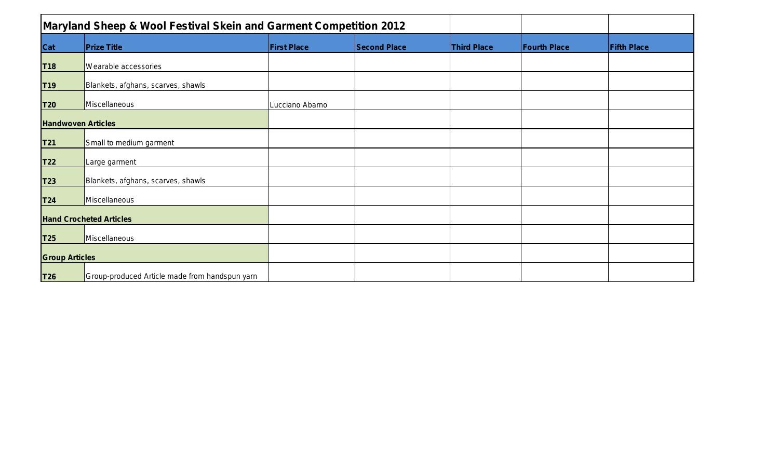| <b>Maryland Sheep &amp; Wool Festival Skein and Garment Competition 2012</b> |                                                |                    |                     |                    |                     |                    |
|------------------------------------------------------------------------------|------------------------------------------------|--------------------|---------------------|--------------------|---------------------|--------------------|
| <b>Cat</b>                                                                   | <b>Prize Title</b>                             | <b>First Place</b> | <b>Second Place</b> | <b>Third Place</b> | <b>Fourth Place</b> | <b>Fifth Place</b> |
| T <sub>18</sub>                                                              | Wearable accessories                           |                    |                     |                    |                     |                    |
| <b>T19</b>                                                                   | Blankets, afghans, scarves, shawls             |                    |                     |                    |                     |                    |
| T20                                                                          | Miscellaneous                                  | Lucciano Abarno    |                     |                    |                     |                    |
| <b>Handwoven Articles</b>                                                    |                                                |                    |                     |                    |                     |                    |
| T21                                                                          | Small to medium garment                        |                    |                     |                    |                     |                    |
| T <sub>22</sub>                                                              | Large garment                                  |                    |                     |                    |                     |                    |
| T23                                                                          | Blankets, afghans, scarves, shawls             |                    |                     |                    |                     |                    |
| T24                                                                          | Miscellaneous                                  |                    |                     |                    |                     |                    |
|                                                                              | <b>Hand Crocheted Articles</b>                 |                    |                     |                    |                     |                    |
| T <sub>25</sub>                                                              | Miscellaneous                                  |                    |                     |                    |                     |                    |
| <b>Group Articles</b>                                                        |                                                |                    |                     |                    |                     |                    |
| <b>T26</b>                                                                   | Group-produced Article made from handspun yarn |                    |                     |                    |                     |                    |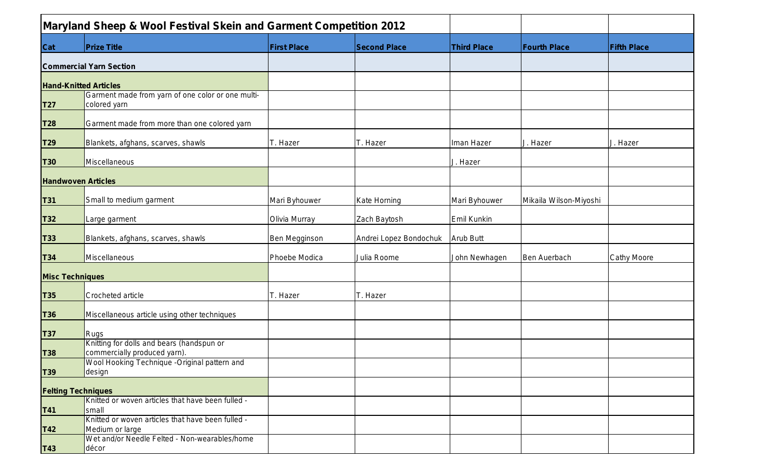|                        | Maryland Sheep & Wool Festival Skein and Garment Competition 2012         |                    |                        |                    |                        |                    |
|------------------------|---------------------------------------------------------------------------|--------------------|------------------------|--------------------|------------------------|--------------------|
| <b>Cat</b>             | <b>Prize Title</b>                                                        | <b>First Place</b> | <b>Second Place</b>    | <b>Third Place</b> | <b>Fourth Place</b>    | <b>Fifth Place</b> |
|                        | <b>Commercial Yarn Section</b>                                            |                    |                        |                    |                        |                    |
|                        | <b>Hand-Knitted Articles</b>                                              |                    |                        |                    |                        |                    |
| <b>T27</b>             | Garment made from yarn of one color or one multi-<br>colored yarn         |                    |                        |                    |                        |                    |
| <b>T28</b>             | Garment made from more than one colored yarn                              |                    |                        |                    |                        |                    |
| T29                    | Blankets, afghans, scarves, shawls                                        | T. Hazer           | T. Hazer               | Iman Hazer         | J. Hazer               | J. Hazer           |
| <b>T30</b>             | Miscellaneous                                                             |                    |                        | J. Hazer           |                        |                    |
|                        | <b>Handwoven Articles</b>                                                 |                    |                        |                    |                        |                    |
| <b>T31</b>             | Small to medium garment                                                   | Mari Byhouwer      | Kate Horning           | Mari Byhouwer      | Mikaila Wilson-Miyoshi |                    |
| <b>T32</b>             | Large garment                                                             | Olivia Murray      | Zach Baytosh           | Emil Kunkin        |                        |                    |
| <b>T33</b>             | Blankets, afghans, scarves, shawls                                        | Ben Megginson      | Andrei Lopez Bondochuk | <b>Arub Butt</b>   |                        |                    |
| <b>T34</b>             | Miscellaneous                                                             | Phoebe Modica      | Julia Roome            | John Newhagen      | Ben Auerbach           | <b>Cathy Moore</b> |
| <b>Misc Techniques</b> |                                                                           |                    |                        |                    |                        |                    |
| <b>T35</b>             | <b>Crocheted article</b>                                                  | T. Hazer           | T. Hazer               |                    |                        |                    |
| <b>T36</b>             | Miscellaneous article using other techniques                              |                    |                        |                    |                        |                    |
| <b>T37</b>             | Rugs                                                                      |                    |                        |                    |                        |                    |
| <b>T38</b>             | Knitting for dolls and bears (handspun or<br>commercially produced yarn). |                    |                        |                    |                        |                    |
| <b>T39</b>             | Wool Hooking Technique -Original pattern and<br>design                    |                    |                        |                    |                        |                    |
|                        | <b>Felting Techniques</b>                                                 |                    |                        |                    |                        |                    |
|                        | Knitted or woven articles that have been fulled -                         |                    |                        |                    |                        |                    |
| <b>T41</b>             | Ismall<br>Knitted or woven articles that have been fulled -               |                    |                        |                    |                        |                    |
| <b>T42</b>             | Medium or large                                                           |                    |                        |                    |                        |                    |
| <b>T43</b>             | Wet and/or Needle Felted - Non-wearables/home<br>décor                    |                    |                        |                    |                        |                    |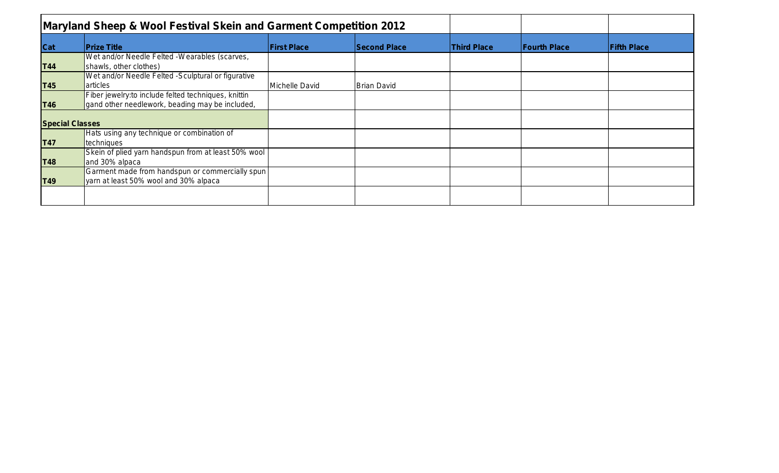|                        | Maryland Sheep & Wool Festival Skein and Garment Competition 2012                                       |                    |                     |                    |                     |                    |
|------------------------|---------------------------------------------------------------------------------------------------------|--------------------|---------------------|--------------------|---------------------|--------------------|
| Cat                    | <b>Prize Title</b>                                                                                      | <b>First Place</b> | <b>Second Place</b> | <b>Third Place</b> | <b>Fourth Place</b> | <b>Fifth Place</b> |
| <b>T44</b>             | Wet and/or Needle Felted -Wearables (scarves,<br>shawls, other clothes)                                 |                    |                     |                    |                     |                    |
| <b>T45</b>             | Wet and/or Needle Felted -Sculptural or figurative<br>larticles                                         | Michelle David     | <b>Brian David</b>  |                    |                     |                    |
| <b>T46</b>             | Fiber jewelry: to include felted techniques, knittin<br>gand other needlework, beading may be included, |                    |                     |                    |                     |                    |
| <b>Special Classes</b> |                                                                                                         |                    |                     |                    |                     |                    |
| <b>T47</b>             | Hats using any technique or combination of<br>techniques                                                |                    |                     |                    |                     |                    |
| <b>T48</b>             | Skein of plied yarn handspun from at least 50% wool<br>and 30% alpaca                                   |                    |                     |                    |                     |                    |
| <b>T49</b>             | Garment made from handspun or commercially spun<br>yarn at least 50% wool and 30% alpaca                |                    |                     |                    |                     |                    |
|                        |                                                                                                         |                    |                     |                    |                     |                    |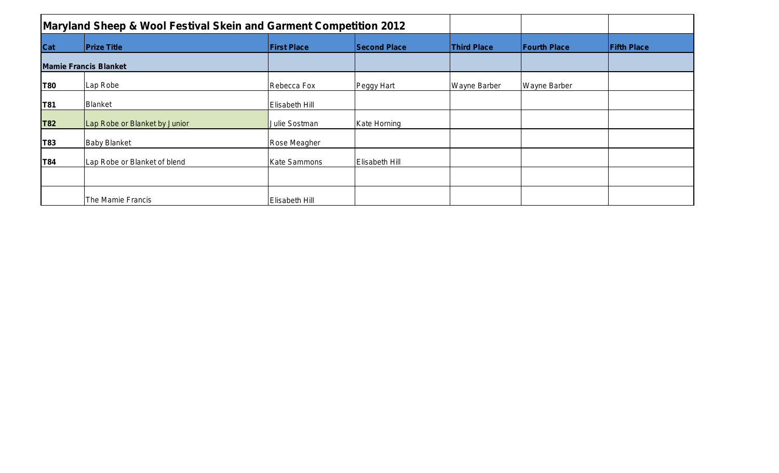| <b>Maryland Sheep &amp; Wool Festival Skein and Garment Competition 2012</b> |                               |                       |                     |                     |                     |                    |
|------------------------------------------------------------------------------|-------------------------------|-----------------------|---------------------|---------------------|---------------------|--------------------|
| Cat                                                                          | <b>Prize Title</b>            | <b>First Place</b>    | <b>Second Place</b> | <b>Third Place</b>  | <b>Fourth Place</b> | <b>Fifth Place</b> |
|                                                                              | <b>Mamie Francis Blanket</b>  |                       |                     |                     |                     |                    |
| T80                                                                          | Lap Robe                      | Rebecca Fox           | Peggy Hart          | <b>Wayne Barber</b> | <b>Wayne Barber</b> |                    |
| T81                                                                          | Blanket                       | Elisabeth Hill        |                     |                     |                     |                    |
| <b>T82</b>                                                                   | Lap Robe or Blanket by Junior | Julie Sostman         | Kate Horning        |                     |                     |                    |
| T83                                                                          | <b>Baby Blanket</b>           | Rose Meagher          |                     |                     |                     |                    |
| T84                                                                          | Lap Robe or Blanket of blend  | <b>Kate Sammons</b>   | Elisabeth Hill      |                     |                     |                    |
|                                                                              |                               |                       |                     |                     |                     |                    |
|                                                                              | The Mamie Francis             | <b>Elisabeth Hill</b> |                     |                     |                     |                    |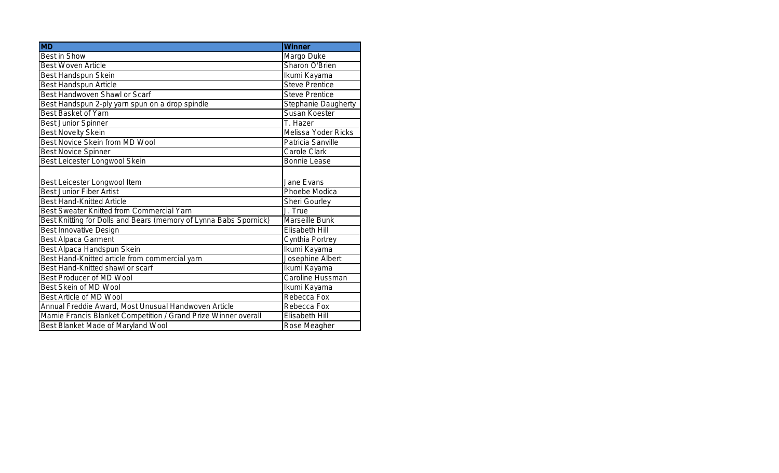| <b>MD</b>                                                         | <b>Winner</b>              |
|-------------------------------------------------------------------|----------------------------|
| Best in Show                                                      | Margo Duke                 |
| <b>Best Woven Article</b>                                         | Sharon O'Brien             |
| Best Handspun Skein                                               | Ikumi Kayama               |
| <b>Best Handspun Article</b>                                      | <b>Steve Prentice</b>      |
| <b>Best Handwoven Shawl or Scarf</b>                              | <b>Steve Prentice</b>      |
| Best Handspun 2-ply yarn spun on a drop spindle                   | <b>Stephanie Daugherty</b> |
| Best Basket of Yarn                                               | Susan Koester              |
| <b>Best Junior Spinner</b>                                        | T. Hazer                   |
| <b>Best Novelty Skein</b>                                         | Melissa Yoder Ricks        |
| Best Novice Skein from MD Wool                                    | Patricia Sanville          |
| <b>Best Novice Spinner</b>                                        | Carole Clark               |
| Best Leicester Longwool Skein                                     | <b>Bonnie Lease</b>        |
|                                                                   |                            |
| Best Leicester Longwool Item                                      | Jane Evans                 |
| <b>Best Junior Fiber Artist</b>                                   | Phoebe Modica              |
| <b>Best Hand-Knitted Article</b>                                  | Sheri Gourley              |
| Best Sweater Knitted from Commercial Yarn                         | J. True                    |
| Best Knitting for Dolls and Bears (memory of Lynna Babs Spornick) | Marseille Bunk             |
| <b>Best Innovative Design</b>                                     | Elisabeth Hill             |
| <b>Best Alpaca Garment</b>                                        | Cynthia Portrey            |
| Best Alpaca Handspun Skein                                        | Ikumi Kayama               |
| Best Hand-Knitted article from commercial yarn                    | Josephine Albert           |
| Best Hand-Knitted shawl or scarf                                  | Ikumi Kayama               |
| <b>Best Producer of MD Wool</b>                                   | Caroline Hussman           |
| Best Skein of MD Wool                                             | Ikumi Kayama               |
| Best Article of MD Wool                                           | Rebecca Fox                |
| Annual Freddie Award, Most Unusual Handwoven Article              | Rebecca Fox                |
| Mamie Francis Blanket Competition / Grand Prize Winner overall    | Elisabeth Hill             |
| Best Blanket Made of Maryland Wool                                | Rose Meagher               |